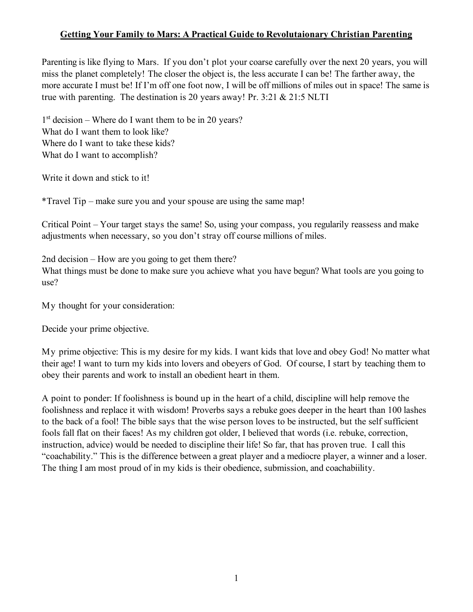Parenting is like flying to Mars. If you don't plot your coarse carefully over the next 20 years, you will miss the planet completely! The closer the object is, the less accurate I can be! The farther away, the more accurate I must be! If I'm off one foot now, I will be off millions of miles out in space! The same is true with parenting. The destination is 20 years away! Pr. 3:21 & 21:5 NLTI

1<sup>st</sup> decision – Where do I want them to be in 20 years? What do I want them to look like? Where do I want to take these kids? What do I want to accomplish?

Write it down and stick to it!

\*Travel Tip – make sure you and your spouse are using the same map!

Critical Point – Your target stays the same! So, using your compass, you regularily reassess and make adjustments when necessary, so you don't stray off course millions of miles.

2nd decision – How are you going to get them there?

What things must be done to make sure you achieve what you have begun? What tools are you going to use?

My thought for your consideration:

Decide your prime objective.

My prime objective: This is my desire for my kids. I want kids that love and obey God! No matter what their age! I want to turn my kids into lovers and obeyers of God. Of course, I start by teaching them to obey their parents and work to install an obedient heart in them.

A point to ponder: If foolishness is bound up in the heart of a child, discipline will help remove the foolishness and replace it with wisdom! Proverbs says a rebuke goes deeper in the heart than 100 lashes to the back of a fool! The bible says that the wise person loves to be instructed, but the self sufficient fools fall flat on their faces! As my children got older, I believed that words (i.e. rebuke, correction, instruction, advice) would be needed to discipline their life! So far, that has proven true. I call this "coachability." This is the difference between a great player and a mediocre player, a winner and a loser. The thing I am most proud of in my kids is their obedience, submission, and coachabiility.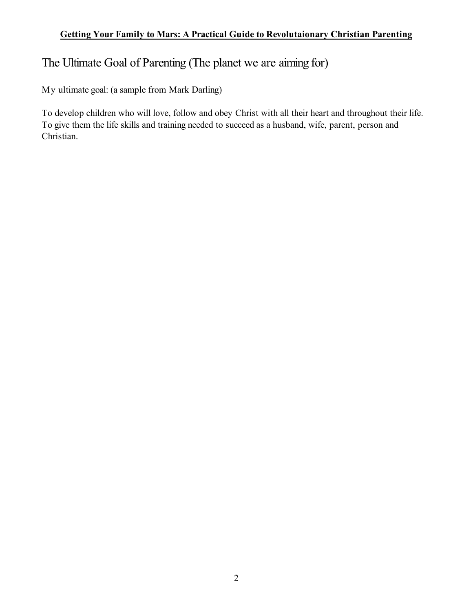# The Ultimate Goal of Parenting (The planet we are aiming for)

My ultimate goal: (a sample from Mark Darling)

To develop children who will love, follow and obey Christ with all their heart and throughout their life. To give them the life skills and training needed to succeed as a husband, wife, parent, person and Christian.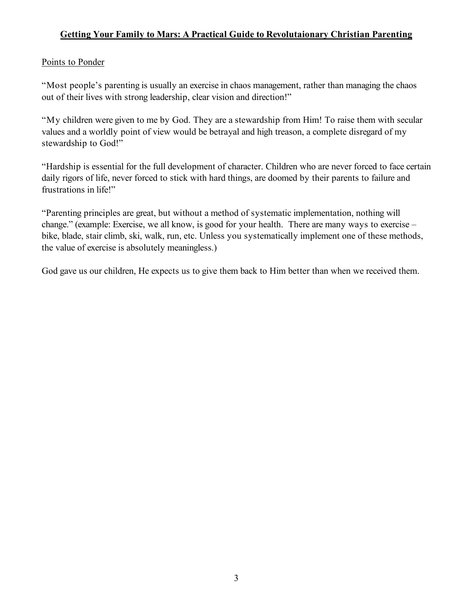#### Points to Ponder

"Most people's parenting is usually an exercise in chaos management, rather than managing the chaos out of their lives with strong leadership, clear vision and direction!"

"My children were given to me by God. They are a stewardship from Him! To raise them with secular values and a worldly point of view would be betrayal and high treason, a complete disregard of my stewardship to God!"

"Hardship is essential for the full development of character. Children who are never forced to face certain daily rigors of life, never forced to stick with hard things, are doomed by their parents to failure and frustrations in life!"

"Parenting principles are great, but without a method of systematic implementation, nothing will change." (example: Exercise, we all know, is good for your health. There are many ways to exercise – bike, blade, stair climb, ski, walk, run, etc. Unless you systematically implement one of these methods, the value of exercise is absolutely meaningless.)

God gave us our children, He expects us to give them back to Him better than when we received them.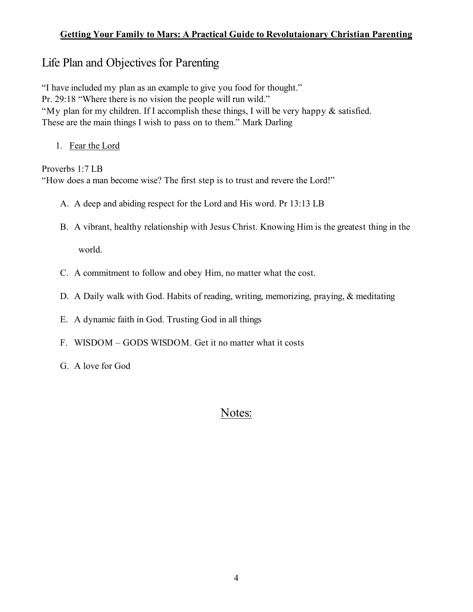# Life Plan and Objectives for Parenting

"I have included my plan as an example to give you food for thought." Pr. 29:18 "Where there is no vision the people will run wild." "My plan for my children. If I accomplish these things, I will be very happy & satisfied. These are the main things I wish to pass on to them." Mark Darling

1. Fear the Lord

Proverbs 1:7 LB "How does a man become wise? The first step is to trust and revere the Lord!"

- A. A deep and abiding respect for the Lord and His word. Pr 13:13 LB
- B. A vibrant, healthy relationship with Jesus Christ. Knowing Him is the greatest thing in the

world.

- C. A commitment to follow and obey Him, no matter what the cost.
- D. A Daily walk with God. Habits of reading, writing, memorizing, praying, & meditating
- E. A dynamic faith in God. Trusting God in all things
- F. WISDOM GODS WISDOM. Get it no matter what it costs
- G. A love for God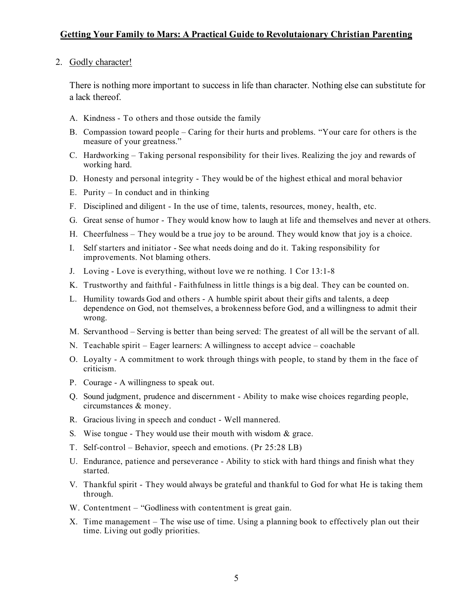#### 2. Godly character!

There is nothing more important to success in life than character. Nothing else can substitute for a lack thereof.

- A. Kindness To others and those outside the family
- B. Compassion toward people Caring for their hurts and problems. "Your care for others is the measure of your greatness."
- C. Hardworking Taking personal responsibility for their lives. Realizing the joy and rewards of working hard.
- D. Honesty and personal integrity They would be of the highest ethical and moral behavior
- E. Purity In conduct and in thinking
- F. Disciplined and diligent In the use of time, talents, resources, money, health, etc.
- G. Great sense of humor They would know how to laugh at life and themselves and never at others.
- H. Cheerfulness They would be a true joy to be around. They would know that joy is a choice.
- I. Self starters and initiator See what needs doing and do it. Taking responsibility for improvements. Not blaming others.
- J. Loving Love is everything, without love we re nothing. 1 Cor 13:1-8
- K. Trustworthy and faithful Faithfulness in little things is a big deal. They can be counted on.
- L. Humility towards God and others A humble spirit about their gifts and talents, a deep dependence on God, not themselves, a brokenness before God, and a willingness to admit their wrong.
- M. Servanthood Serving is better than being served: The greatest of all will be the servant of all.
- N. Teachable spirit Eager learners: A willingness to accept advice coachable
- O. Loyalty A commitment to work through things with people, to stand by them in the face of criticism.
- P. Courage A willingness to speak out.
- Q. Sound judgment, prudence and discernment Ability to make wise choices regarding people, circumstances & money.
- R. Gracious living in speech and conduct Well mannered.
- S. Wise tongue They would use their mouth with wisdom  $\&$  grace.
- T. Self-control Behavior, speech and emotions. (Pr 25:28 LB)
- U. Endurance, patience and perseverance Ability to stick with hard things and finish what they started.
- V. Thankful spirit They would always be grateful and thankful to God for what He is taking them through.
- W. Contentment "Godliness with contentment is great gain.
- X. Time management The wise use of time. Using a planning book to effectively plan out their time. Living out godly priorities.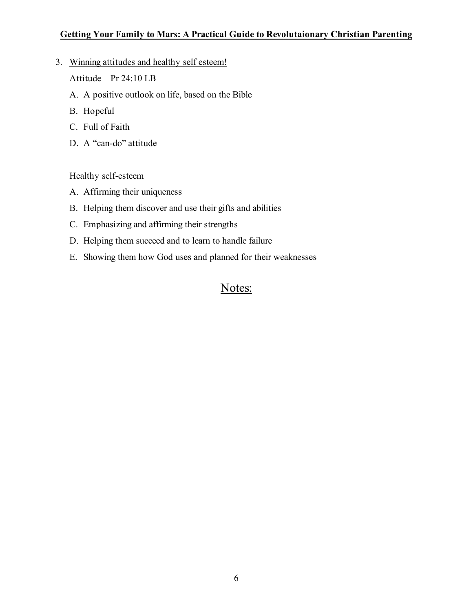3. Winning attitudes and healthy self esteem!

Attitude – Pr 24:10 LB

- A. A positive outlook on life, based on the Bible
- B. Hopeful
- C. Full of Faith
- D. A "can-do" attitude

Healthy self-esteem

- A. Affirming their uniqueness
- B. Helping them discover and use their gifts and abilities
- C. Emphasizing and affirming their strengths
- D. Helping them succeed and to learn to handle failure
- E. Showing them how God uses and planned for their weaknesses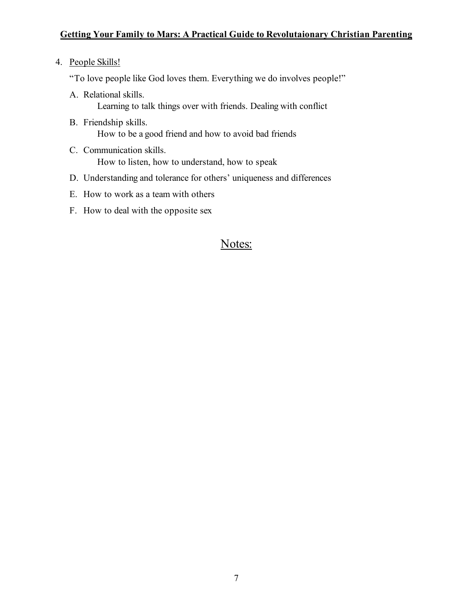#### 4. People Skills!

"To love people like God loves them. Everything we do involves people!"

- A. Relational skills. Learning to talk things over with friends. Dealing with conflict
- B. Friendship skills. How to be a good friend and how to avoid bad friends
- C. Communication skills. How to listen, how to understand, how to speak
- D. Understanding and tolerance for others' uniqueness and differences
- E. How to work as a team with others
- F. How to deal with the opposite sex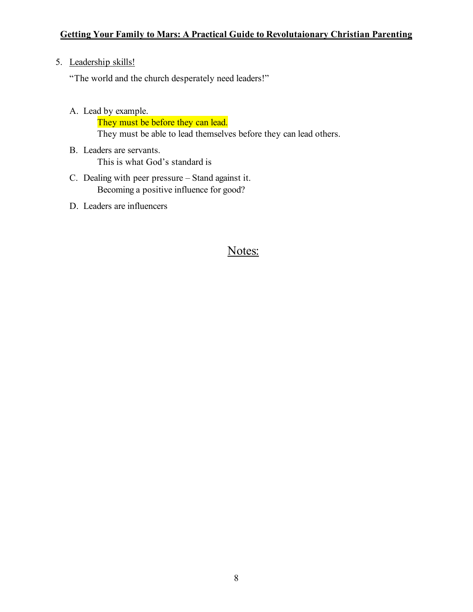### 5. Leadership skills!

"The world and the church desperately need leaders!"

A. Lead by example.

They must be before they can lead.

They must be able to lead themselves before they can lead others.

- B. Leaders are servants. This is what God's standard is
- C. Dealing with peer pressure Stand against it. Becoming a positive influence for good?
- D. Leaders are influencers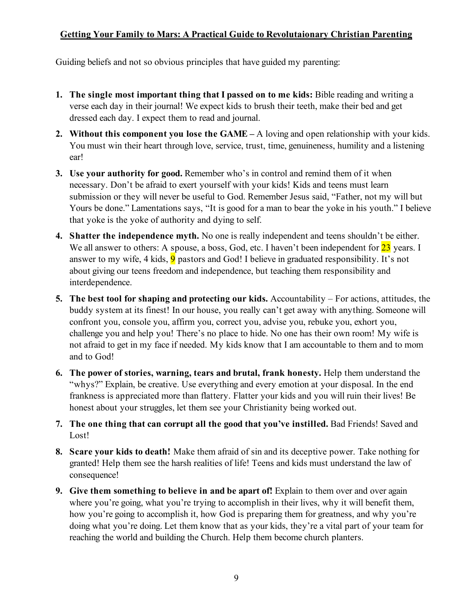Guiding beliefs and not so obvious principles that have guided my parenting:

- **1. The single most important thing that I passed on to me kids:** Bible reading and writing a verse each day in their journal! We expect kids to brush their teeth, make their bed and get dressed each day. I expect them to read and journal.
- **2. Without this component you lose the GAME –** A loving and open relationship with your kids. You must win their heart through love, service, trust, time, genuineness, humility and a listening ear!
- **3. Use your authority for good.** Remember who's in control and remind them of it when necessary. Don't be afraid to exert yourself with your kids! Kids and teens must learn submission or they will never be useful to God. Remember Jesus said, "Father, not my will but Yours be done." Lamentations says, "It is good for a man to bear the yoke in his youth." I believe that yoke is the yoke of authority and dying to self.
- **4. Shatter the independence myth.** No one is really independent and teens shouldn't be either. We all answer to others: A spouse, a boss, God, etc. I haven't been independent for  $\frac{23}{12}$  years. I answer to my wife, 4 kids,  $\overline{9}$  pastors and God! I believe in graduated responsibility. It's not about giving our teens freedom and independence, but teaching them responsibility and interdependence.
- **5. The best tool for shaping and protecting our kids.** Accountability For actions, attitudes, the buddy system at its finest! In our house, you really can't get away with anything. Someone will confront you, console you, affirm you, correct you, advise you, rebuke you, exhort you, challenge you and help you! There's no place to hide. No one has their own room! My wife is not afraid to get in my face if needed. My kids know that I am accountable to them and to mom and to God!
- **6. The power of stories, warning, tears and brutal, frank honesty.** Help them understand the "whys?" Explain, be creative. Use everything and every emotion at your disposal. In the end frankness is appreciated more than flattery. Flatter your kids and you will ruin their lives! Be honest about your struggles, let them see your Christianity being worked out.
- **7. The one thing that can corrupt all the good that you've instilled.** Bad Friends! Saved and Lost!
- **8. Scare your kids to death!** Make them afraid of sin and its deceptive power. Take nothing for granted! Help them see the harsh realities of life! Teens and kids must understand the law of consequence!
- **9. Give them something to believe in and be apart of!** Explain to them over and over again where you're going, what you're trying to accomplish in their lives, why it will benefit them, how you're going to accomplish it, how God is preparing them for greatness, and why you're doing what you're doing. Let them know that as your kids, they're a vital part of your team for reaching the world and building the Church. Help them become church planters.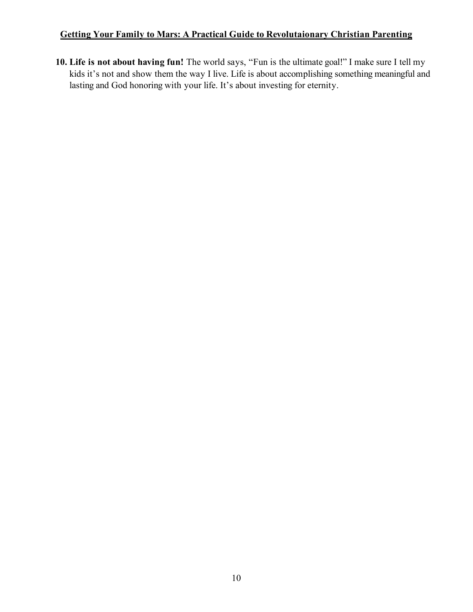**10. Life is not about having fun!** The world says, "Fun is the ultimate goal!" I make sure I tell my kids it's not and show them the way I live. Life is about accomplishing something meaningful and lasting and God honoring with your life. It's about investing for eternity.